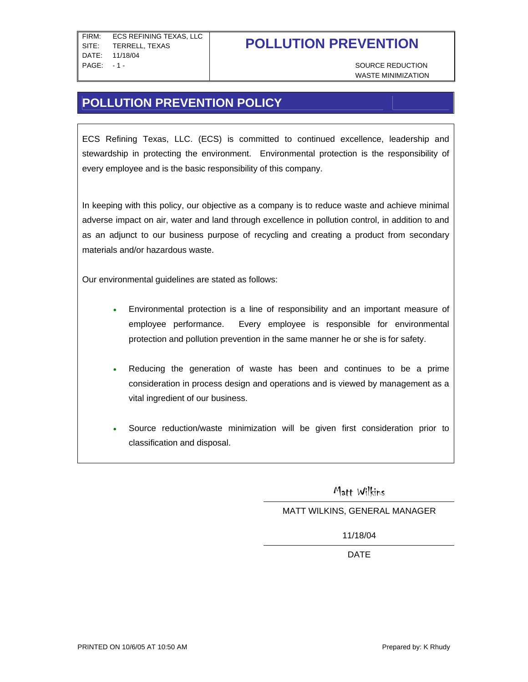WASTE MINIMIZATION

## **POLLUTION PREVENTION POLICY**

ECS Refining Texas, LLC. (ECS) is committed to continued excellence, leadership and stewardship in protecting the environment. Environmental protection is the responsibility of every employee and is the basic responsibility of this company.

In keeping with this policy, our objective as a company is to reduce waste and achieve minimal adverse impact on air, water and land through excellence in pollution control, in addition to and as an adjunct to our business purpose of recycling and creating a product from secondary materials and/or hazardous waste.

Our environmental guidelines are stated as follows:

- Environmental protection is a line of responsibility and an important measure of employee performance. Every employee is responsible for environmental protection and pollution prevention in the same manner he or she is for safety.
- Reducing the generation of waste has been and continues to be a prime consideration in process design and operations and is viewed by management as a vital ingredient of our business.
- Source reduction/waste minimization will be given first consideration prior to classification and disposal.

Matt Wilkins

### MATT WILKINS, GENERAL MANAGER

11/18/04

design and the contract of the contract of the DATE.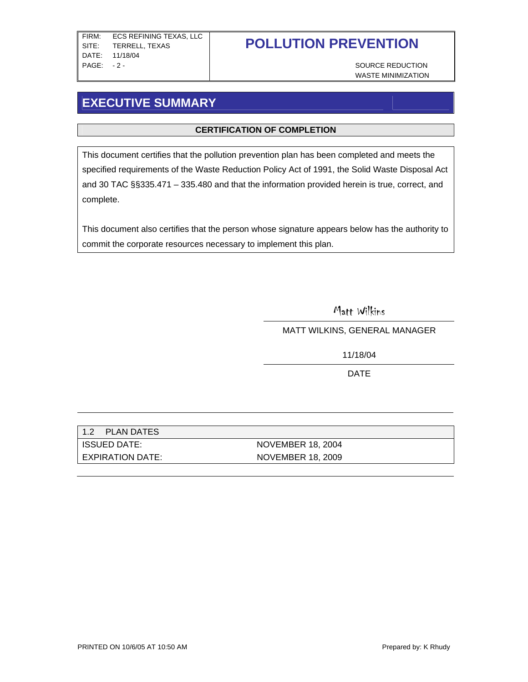WASTE MINIMIZATION

## **EXECUTIVE SUMMARY**

### **CERTIFICATION OF COMPLETION**

This document certifies that the pollution prevention plan has been completed and meets the specified requirements of the Waste Reduction Policy Act of 1991, the Solid Waste Disposal Act and 30 TAC §§335.471 – 335.480 and that the information provided herein is true, correct, and complete.

This document also certifies that the person whose signature appears below has the authority to commit the corporate resources necessary to implement this plan.

Matt Wilkins

MATT WILKINS, GENERAL MANAGER

11/18/04

design and the contract of the DATE of the ST and the ST and the ST and the ST and the ST and the ST and the S

| 1.2<br>PLAN DATES |                   |
|-------------------|-------------------|
| ISSUED DATE:      | NOVEMBER 18, 2004 |
| EXPIRATION DATE:  | NOVEMBER 18, 2009 |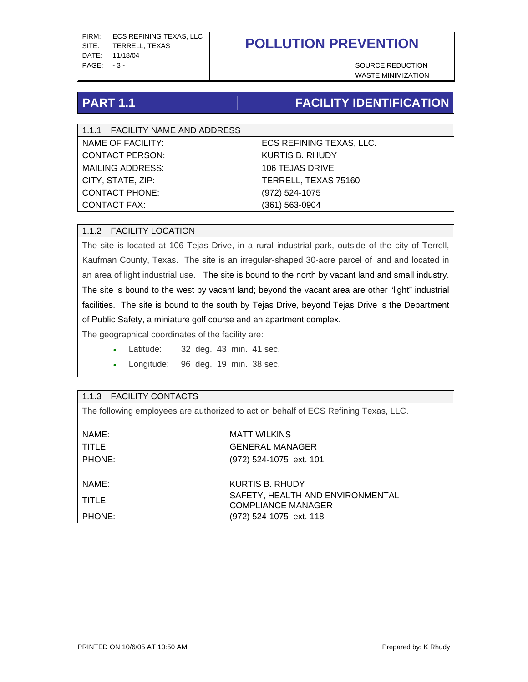WASTE MINIMIZATION

## **PART 1.1 FACILITY IDENTIFICATION**

1.1.1 FACILITY NAME AND ADDRESS CONTACT PERSON: KURTIS B. RHUDY MAILING ADDRESS: 106 TEJAS DRIVE CITY, STATE, ZIP: TERRELL, TEXAS 75160 CONTACT PHONE: (972) 524-1075 CONTACT FAX: (361) 563-0904

NAME OF FACILITY: ECS REFINING TEXAS, LLC.

### 1.1.2 FACILITY LOCATION

The site is located at 106 Tejas Drive, in a rural industrial park, outside of the city of Terrell, Kaufman County, Texas. The site is an irregular-shaped 30-acre parcel of land and located in an area of light industrial use. The site is bound to the north by vacant land and small industry. The site is bound to the west by vacant land; beyond the vacant area are other "light" industrial facilities. The site is bound to the south by Tejas Drive, beyond Tejas Drive is the Department of Public Safety, a miniature golf course and an apartment complex.

The geographical coordinates of the facility are:

- Latitude: 32 deg. 43 min. 41 sec.
- Longitude: 96 deg. 19 min. 38 sec.

#### 1.1.3 FACILITY CONTACTS

The following employees are authorized to act on behalf of ECS Refining Texas, LLC.

| NAME:<br>TITLE:<br>PHONE: | <b>MATT WILKINS</b><br><b>GENERAL MANAGER</b><br>(972) 524-1075 ext. 101 |
|---------------------------|--------------------------------------------------------------------------|
| NAME:                     | KURTIS B. RHUDY                                                          |
| TITLE:                    | SAFETY, HEALTH AND ENVIRONMENTAL<br><b>COMPLIANCE MANAGER</b>            |
| PHONE:                    | (972) 524-1075 ext. 118                                                  |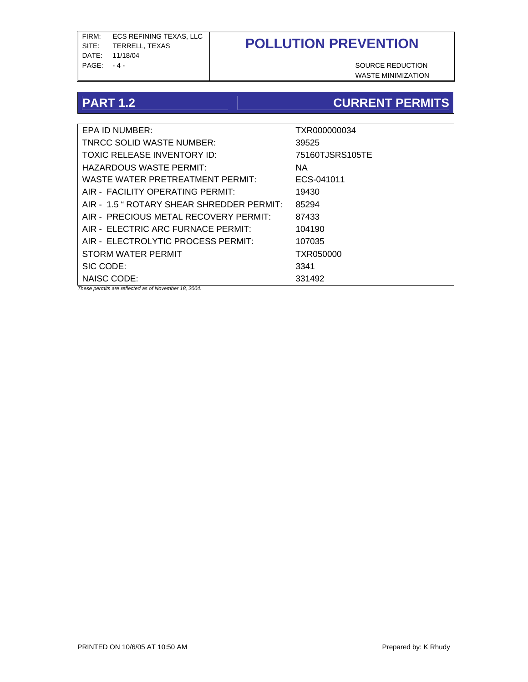FIRM: ECS REFINING TEXAS, LLC SITE: TERRELL, TEXAS DATE: 11/18/04 PAGE: -4 - SOURCE REDUCTION

# **POLLUTION PREVENTION**

WASTE MINIMIZATION

## **PART 1.2** CURRENT PERMITS

| EPA ID NUMBER:                                       | TXR000000034    |
|------------------------------------------------------|-----------------|
| <b>TNRCC SOLID WASTE NUMBER:</b>                     | 39525           |
| TOXIC RELEASE INVENTORY ID:                          | 75160TJSRS105TE |
| HAZARDOUS WASTE PERMIT:                              | NA.             |
| WASTE WATER PRETREATMENT PERMIT:                     | ECS-041011      |
| AIR - FACILITY OPERATING PERMIT:                     | 19430           |
| AIR - 1.5 " ROTARY SHEAR SHREDDER PERMIT:            | 85294           |
| AIR - PRECIOUS METAL RECOVERY PERMIT:                | 87433           |
| AIR - ELECTRIC ARC FURNACE PERMIT:                   | 104190          |
| AIR - ELECTROLYTIC PROCESS PERMIT:                   | 107035          |
| STORM WATER PERMIT                                   | TXR050000       |
| SIC CODE:                                            | 3341            |
| NAISC CODE:                                          | 331492          |
| These permits are reflected as of November 18, 2004. |                 |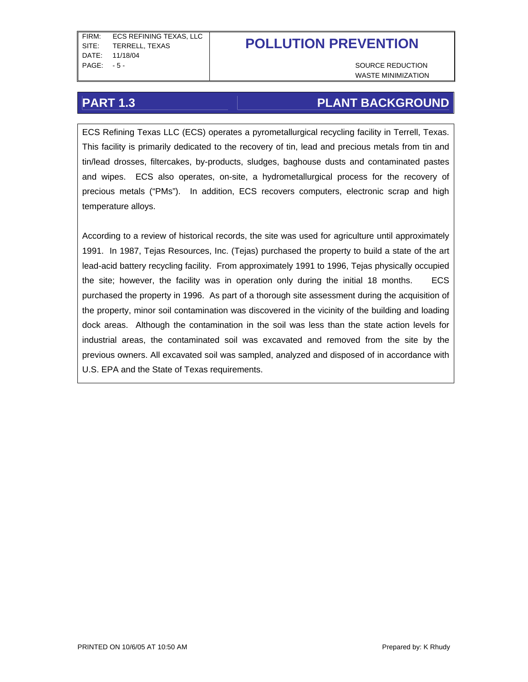WASTE MINIMIZATION

## **PART 1.3** PART 1.3

ECS Refining Texas LLC (ECS) operates a pyrometallurgical recycling facility in Terrell, Texas. This facility is primarily dedicated to the recovery of tin, lead and precious metals from tin and tin/lead drosses, filtercakes, by-products, sludges, baghouse dusts and contaminated pastes and wipes. ECS also operates, on-site, a hydrometallurgical process for the recovery of precious metals ("PMs"). In addition, ECS recovers computers, electronic scrap and high temperature alloys.

According to a review of historical records, the site was used for agriculture until approximately 1991. In 1987, Tejas Resources, Inc. (Tejas) purchased the property to build a state of the art lead-acid battery recycling facility. From approximately 1991 to 1996, Tejas physically occupied the site; however, the facility was in operation only during the initial 18 months. ECS purchased the property in 1996. As part of a thorough site assessment during the acquisition of the property, minor soil contamination was discovered in the vicinity of the building and loading dock areas. Although the contamination in the soil was less than the state action levels for industrial areas, the contaminated soil was excavated and removed from the site by the previous owners. All excavated soil was sampled, analyzed and disposed of in accordance with U.S. EPA and the State of Texas requirements.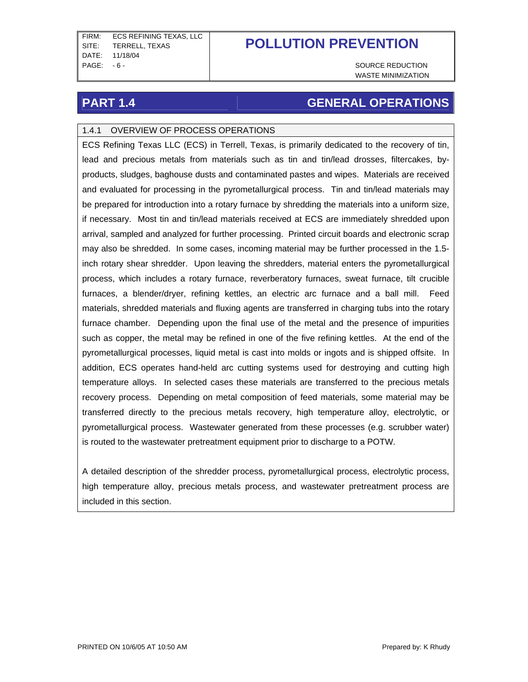FIRM: ECS REFINING TEXAS, LLC SITE: TERRELL, TEXAS DATE: 11/18/04 PAGE: - 6 - SOURCE REDUCTION

# **POLLUTION PREVENTION**

WASTE MINIMIZATION

## **PART 1.4 GENERAL OPERATIONS**

### 1.4.1 OVERVIEW OF PROCESS OPERATIONS

ECS Refining Texas LLC (ECS) in Terrell, Texas, is primarily dedicated to the recovery of tin, lead and precious metals from materials such as tin and tin/lead drosses, filtercakes, byproducts, sludges, baghouse dusts and contaminated pastes and wipes. Materials are received and evaluated for processing in the pyrometallurgical process. Tin and tin/lead materials may be prepared for introduction into a rotary furnace by shredding the materials into a uniform size, if necessary. Most tin and tin/lead materials received at ECS are immediately shredded upon arrival, sampled and analyzed for further processing. Printed circuit boards and electronic scrap may also be shredded. In some cases, incoming material may be further processed in the 1.5 inch rotary shear shredder. Upon leaving the shredders, material enters the pyrometallurgical process, which includes a rotary furnace, reverberatory furnaces, sweat furnace, tilt crucible furnaces, a blender/dryer, refining kettles, an electric arc furnace and a ball mill. Feed materials, shredded materials and fluxing agents are transferred in charging tubs into the rotary furnace chamber. Depending upon the final use of the metal and the presence of impurities such as copper, the metal may be refined in one of the five refining kettles. At the end of the pyrometallurgical processes, liquid metal is cast into molds or ingots and is shipped offsite. In addition, ECS operates hand-held arc cutting systems used for destroying and cutting high temperature alloys. In selected cases these materials are transferred to the precious metals recovery process. Depending on metal composition of feed materials, some material may be transferred directly to the precious metals recovery, high temperature alloy, electrolytic, or pyrometallurgical process. Wastewater generated from these processes (e.g. scrubber water) is routed to the wastewater pretreatment equipment prior to discharge to a POTW.

A detailed description of the shredder process, pyrometallurgical process, electrolytic process, high temperature alloy, precious metals process, and wastewater pretreatment process are included in this section.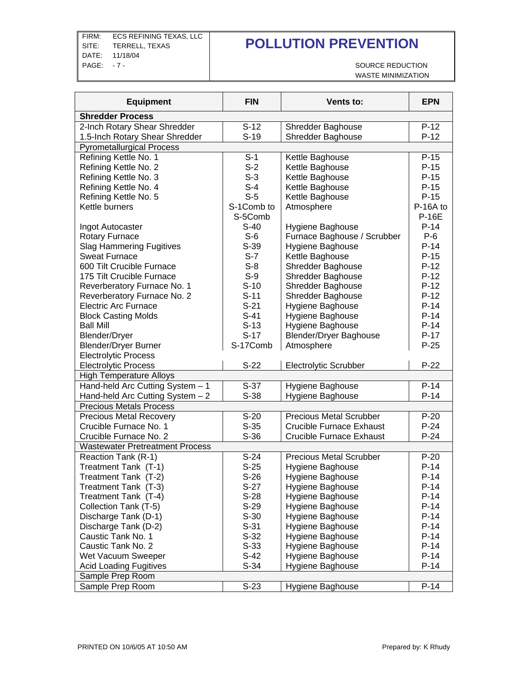FIRM: ECS REFINING TEXAS, LLC SITE: TERRELL, TEXAS DATE: 11/18/04 PAGE: -7 - SOURCE REDUCTION

# **POLLUTION PREVENTION**

WASTE MINIMIZATION

| <b>Equipment</b>                       | <b>FIN</b>         | Vents to:                       | <b>EPN</b>   |
|----------------------------------------|--------------------|---------------------------------|--------------|
| <b>Shredder Process</b>                |                    |                                 |              |
| 2-Inch Rotary Shear Shredder           | $S-12$             | <b>Shredder Baghouse</b>        | $P-12$       |
| 1.5-Inch Rotary Shear Shredder         | $S-19$             | <b>Shredder Baghouse</b>        | $P-12$       |
| <b>Pyrometallurgical Process</b>       |                    |                                 |              |
| Refining Kettle No. 1                  | $S-1$              | Kettle Baghouse                 | $P-15$       |
| Refining Kettle No. 2                  | $S-2$              | Kettle Baghouse                 | $P-15$       |
| Refining Kettle No. 3                  | $S-3$              | Kettle Baghouse                 | $P-15$       |
| Refining Kettle No. 4                  | $S-4$              | Kettle Baghouse                 | $P-15$       |
| Refining Kettle No. 5                  | $S-5$              | Kettle Baghouse                 | $P-15$       |
| Kettle burners                         | S-1Comb to         | Atmosphere                      | P-16A to     |
|                                        | S-5Comb            |                                 | <b>P-16E</b> |
| Ingot Autocaster                       | $S-40$             | Hygiene Baghouse                | $P-14$       |
| <b>Rotary Furnace</b>                  | $S-6$              | Furnace Baghouse / Scrubber     | $P-6$        |
| <b>Slag Hammering Fugitives</b>        | $S-39$             | Hygiene Baghouse                | $P-14$       |
| <b>Sweat Furnace</b>                   | $S-7$              | Kettle Baghouse                 | $P-15$       |
| 600 Tilt Crucible Furnace              | $S-8$              | Shredder Baghouse               | $P-12$       |
| 175 Tilt Crucible Furnace              | $S-9$              | <b>Shredder Baghouse</b>        | $P-12$       |
| Reverberatory Furnace No. 1            | $S-10$             | <b>Shredder Baghouse</b>        | $P-12$       |
| Reverberatory Furnace No. 2            | $S-11$             | <b>Shredder Baghouse</b>        | $P-12$       |
| <b>Electric Arc Furnace</b>            | $S-21$             | Hygiene Baghouse                | $P-14$       |
| <b>Block Casting Molds</b>             | $S-41$             | Hygiene Baghouse                | $P-14$       |
| <b>Ball Mill</b>                       | $S-13$             | Hygiene Baghouse                | $P-14$       |
| <b>Blender/Dryer</b>                   | $S-17$             | <b>Blender/Dryer Baghouse</b>   | $P-17$       |
| <b>Blender/Dryer Burner</b>            | S-17Comb           | Atmosphere                      | $P-25$       |
| <b>Electrolytic Process</b>            |                    |                                 |              |
| <b>Electrolytic Process</b>            | $S-22$             | <b>Electrolytic Scrubber</b>    | $P-22$       |
| <b>High Temperature Alloys</b>         |                    |                                 |              |
| Hand-held Arc Cutting System - 1       | $S-37$             | Hygiene Baghouse                | $P-14$       |
| Hand-held Arc Cutting System $-2$      | $S-38$             | Hygiene Baghouse                | $P-14$       |
| <b>Precious Metals Process</b>         |                    |                                 |              |
| <b>Precious Metal Recovery</b>         | $S-20$             | <b>Precious Metal Scrubber</b>  | $P-20$       |
| Crucible Furnace No. 1                 | $S-35$             | <b>Crucible Furnace Exhaust</b> | $P-24$       |
| Crucible Furnace No. 2                 | $S-36$             | <b>Crucible Furnace Exhaust</b> | $P-24$       |
| <b>Wastewater Pretreatment Process</b> |                    |                                 |              |
| Reaction Tank (R-1)                    | $\overline{S}$ -24 | <b>Precious Metal Scrubber</b>  | $P-20$       |
| Treatment Tank (T-1)                   | $S-25$             | Hygiene Baghouse                | $P-14$       |
| Treatment Tank (T-2)                   | $S-26$             | Hygiene Baghouse                | $P-14$       |
| Treatment Tank (T-3)                   | $S-27$             | Hygiene Baghouse                | $P-14$       |
| Treatment Tank (T-4)                   | $S-28$             | Hygiene Baghouse                | $P-14$       |
| Collection Tank (T-5)                  | $S-29$             | <b>Hygiene Baghouse</b>         | $P-14$       |
| Discharge Tank (D-1)                   | $S-30$             | Hygiene Baghouse                | $P-14$       |
| Discharge Tank (D-2)                   | $S-31$             | Hygiene Baghouse                | $P-14$       |
| Caustic Tank No. 1                     | $S-32$             | Hygiene Baghouse                | $P-14$       |
| Caustic Tank No. 2                     | $S-33$             | Hygiene Baghouse                | $P-14$       |
| Wet Vacuum Sweeper                     | $S-42$             | Hygiene Baghouse                | $P-14$       |
| <b>Acid Loading Fugitives</b>          | $S-34$             | <b>Hygiene Baghouse</b>         | $P-14$       |
| Sample Prep Room                       |                    |                                 |              |
| Sample Prep Room                       | $S-23$             | Hygiene Baghouse                | $P-14$       |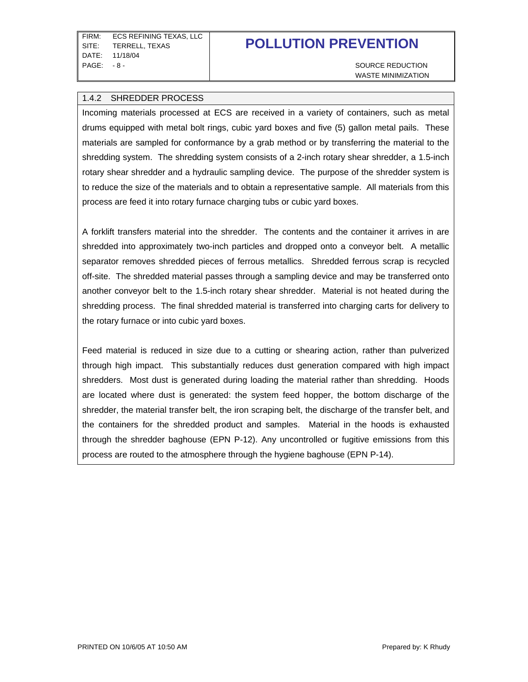WASTE MINIMIZATION

#### 1.4.2 SHREDDER PROCESS

Incoming materials processed at ECS are received in a variety of containers, such as metal drums equipped with metal bolt rings, cubic yard boxes and five (5) gallon metal pails. These materials are sampled for conformance by a grab method or by transferring the material to the shredding system. The shredding system consists of a 2-inch rotary shear shredder, a 1.5-inch rotary shear shredder and a hydraulic sampling device. The purpose of the shredder system is to reduce the size of the materials and to obtain a representative sample. All materials from this process are feed it into rotary furnace charging tubs or cubic yard boxes.

A forklift transfers material into the shredder. The contents and the container it arrives in are shredded into approximately two-inch particles and dropped onto a conveyor belt. A metallic separator removes shredded pieces of ferrous metallics. Shredded ferrous scrap is recycled off-site. The shredded material passes through a sampling device and may be transferred onto another conveyor belt to the 1.5-inch rotary shear shredder. Material is not heated during the shredding process. The final shredded material is transferred into charging carts for delivery to the rotary furnace or into cubic yard boxes.

Feed material is reduced in size due to a cutting or shearing action, rather than pulverized through high impact. This substantially reduces dust generation compared with high impact shredders. Most dust is generated during loading the material rather than shredding. Hoods are located where dust is generated: the system feed hopper, the bottom discharge of the shredder, the material transfer belt, the iron scraping belt, the discharge of the transfer belt, and the containers for the shredded product and samples. Material in the hoods is exhausted through the shredder baghouse (EPN P-12). Any uncontrolled or fugitive emissions from this process are routed to the atmosphere through the hygiene baghouse (EPN P-14).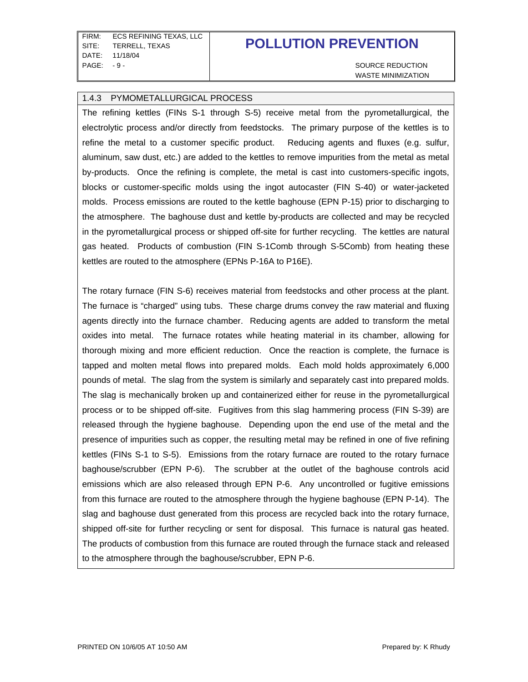FIRM: ECS REFINING TEXAS, LLC SITE: TERRELL, TEXAS DATE: 11/18/04 PAGE: -9 - SOURCE REDUCTION

## **POLLUTION PREVENTION**

WASTE MINIMIZATION

#### 1.4.3 PYMOMETALLURGICAL PROCESS

The refining kettles (FINs S-1 through S-5) receive metal from the pyrometallurgical, the electrolytic process and/or directly from feedstocks. The primary purpose of the kettles is to refine the metal to a customer specific product. Reducing agents and fluxes (e.g. sulfur, aluminum, saw dust, etc.) are added to the kettles to remove impurities from the metal as metal by-products. Once the refining is complete, the metal is cast into customers-specific ingots, blocks or customer-specific molds using the ingot autocaster (FIN S-40) or water-jacketed molds. Process emissions are routed to the kettle baghouse (EPN P-15) prior to discharging to the atmosphere. The baghouse dust and kettle by-products are collected and may be recycled in the pyrometallurgical process or shipped off-site for further recycling. The kettles are natural gas heated. Products of combustion (FIN S-1Comb through S-5Comb) from heating these kettles are routed to the atmosphere (EPNs P-16A to P16E).

The rotary furnace (FIN S-6) receives material from feedstocks and other process at the plant. The furnace is "charged" using tubs. These charge drums convey the raw material and fluxing agents directly into the furnace chamber. Reducing agents are added to transform the metal oxides into metal. The furnace rotates while heating material in its chamber, allowing for thorough mixing and more efficient reduction. Once the reaction is complete, the furnace is tapped and molten metal flows into prepared molds. Each mold holds approximately 6,000 pounds of metal. The slag from the system is similarly and separately cast into prepared molds. The slag is mechanically broken up and containerized either for reuse in the pyrometallurgical process or to be shipped off-site. Fugitives from this slag hammering process (FIN S-39) are released through the hygiene baghouse. Depending upon the end use of the metal and the presence of impurities such as copper, the resulting metal may be refined in one of five refining kettles (FINs S-1 to S-5). Emissions from the rotary furnace are routed to the rotary furnace baghouse/scrubber (EPN P-6). The scrubber at the outlet of the baghouse controls acid emissions which are also released through EPN P-6. Any uncontrolled or fugitive emissions from this furnace are routed to the atmosphere through the hygiene baghouse (EPN P-14). The slag and baghouse dust generated from this process are recycled back into the rotary furnace, shipped off-site for further recycling or sent for disposal. This furnace is natural gas heated. The products of combustion from this furnace are routed through the furnace stack and released to the atmosphere through the baghouse/scrubber, EPN P-6.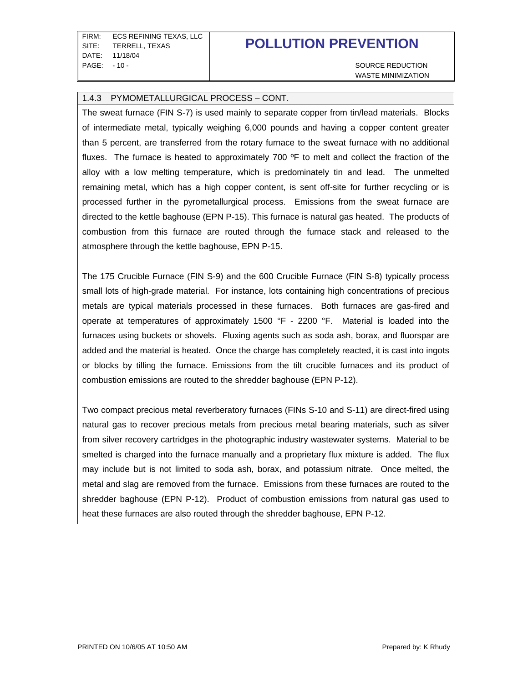FIRM: ECS REFINING TEXAS, LLC SITE: TERRELL, TEXAS DATE: 11/18/04 PAGE: -10 - SOURCE REDUCTION

## **POLLUTION PREVENTION**

WASTE MINIMIZATION

#### 1.4.3 PYMOMETALLURGICAL PROCESS – CONT.

The sweat furnace (FIN S-7) is used mainly to separate copper from tin/lead materials. Blocks of intermediate metal, typically weighing 6,000 pounds and having a copper content greater than 5 percent, are transferred from the rotary furnace to the sweat furnace with no additional fluxes. The furnace is heated to approximately 700 ºF to melt and collect the fraction of the alloy with a low melting temperature, which is predominately tin and lead. The unmelted remaining metal, which has a high copper content, is sent off-site for further recycling or is processed further in the pyrometallurgical process. Emissions from the sweat furnace are directed to the kettle baghouse (EPN P-15). This furnace is natural gas heated. The products of combustion from this furnace are routed through the furnace stack and released to the atmosphere through the kettle baghouse, EPN P-15.

The 175 Crucible Furnace (FIN S-9) and the 600 Crucible Furnace (FIN S-8) typically process small lots of high-grade material. For instance, lots containing high concentrations of precious metals are typical materials processed in these furnaces. Both furnaces are gas-fired and operate at temperatures of approximately 1500 °F - 2200 °F. Material is loaded into the furnaces using buckets or shovels. Fluxing agents such as soda ash, borax, and fluorspar are added and the material is heated. Once the charge has completely reacted, it is cast into ingots or blocks by tilling the furnace. Emissions from the tilt crucible furnaces and its product of combustion emissions are routed to the shredder baghouse (EPN P-12).

Two compact precious metal reverberatory furnaces (FINs S-10 and S-11) are direct-fired using natural gas to recover precious metals from precious metal bearing materials, such as silver from silver recovery cartridges in the photographic industry wastewater systems. Material to be smelted is charged into the furnace manually and a proprietary flux mixture is added. The flux may include but is not limited to soda ash, borax, and potassium nitrate. Once melted, the metal and slag are removed from the furnace. Emissions from these furnaces are routed to the shredder baghouse (EPN P-12). Product of combustion emissions from natural gas used to heat these furnaces are also routed through the shredder baghouse, EPN P-12.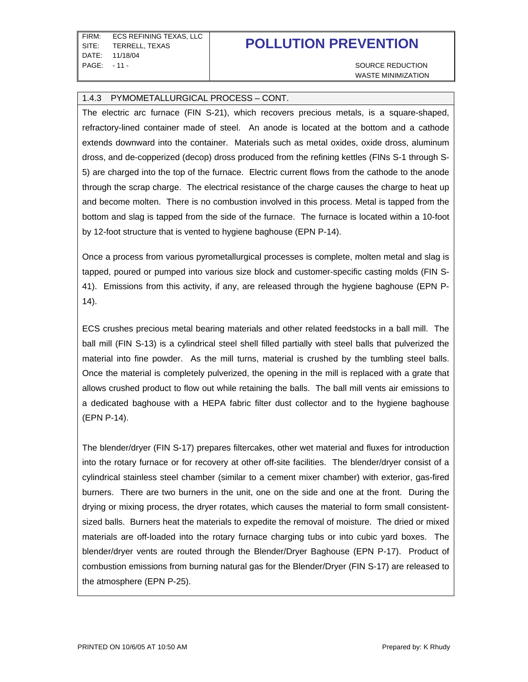WASTE MINIMIZATION

#### 1.4.3 PYMOMETALLURGICAL PROCESS – CONT.

The electric arc furnace (FIN S-21), which recovers precious metals, is a square-shaped, refractory-lined container made of steel. An anode is located at the bottom and a cathode extends downward into the container. Materials such as metal oxides, oxide dross, aluminum dross, and de-copperized (decop) dross produced from the refining kettles (FINs S-1 through S-5) are charged into the top of the furnace. Electric current flows from the cathode to the anode through the scrap charge. The electrical resistance of the charge causes the charge to heat up and become molten. There is no combustion involved in this process. Metal is tapped from the bottom and slag is tapped from the side of the furnace. The furnace is located within a 10-foot by 12-foot structure that is vented to hygiene baghouse (EPN P-14).

Once a process from various pyrometallurgical processes is complete, molten metal and slag is tapped, poured or pumped into various size block and customer-specific casting molds (FIN S-41). Emissions from this activity, if any, are released through the hygiene baghouse (EPN P-14).

ECS crushes precious metal bearing materials and other related feedstocks in a ball mill. The ball mill (FIN S-13) is a cylindrical steel shell filled partially with steel balls that pulverized the material into fine powder. As the mill turns, material is crushed by the tumbling steel balls. Once the material is completely pulverized, the opening in the mill is replaced with a grate that allows crushed product to flow out while retaining the balls. The ball mill vents air emissions to a dedicated baghouse with a HEPA fabric filter dust collector and to the hygiene baghouse (EPN P-14).

The blender/dryer (FIN S-17) prepares filtercakes, other wet material and fluxes for introduction into the rotary furnace or for recovery at other off-site facilities. The blender/dryer consist of a cylindrical stainless steel chamber (similar to a cement mixer chamber) with exterior, gas-fired burners. There are two burners in the unit, one on the side and one at the front. During the drying or mixing process, the dryer rotates, which causes the material to form small consistentsized balls. Burners heat the materials to expedite the removal of moisture. The dried or mixed materials are off-loaded into the rotary furnace charging tubs or into cubic yard boxes. The blender/dryer vents are routed through the Blender/Dryer Baghouse (EPN P-17). Product of combustion emissions from burning natural gas for the Blender/Dryer (FIN S-17) are released to the atmosphere (EPN P-25).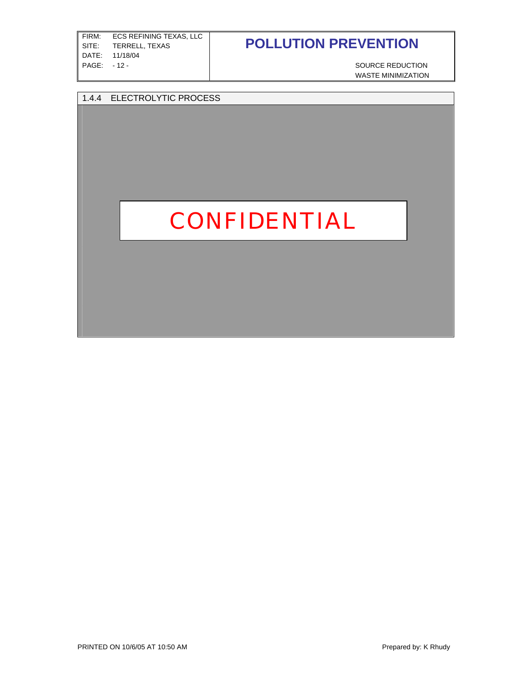| FIRM:       | ECS REFINING TEXAS. LLC |
|-------------|-------------------------|
| SITE:       | TERRELL. TEXAS          |
| DATF:       | 11/18/04                |
| PAGE: -12 - |                         |
|             |                         |

SOURCE REDUCTION WASTE MINIMIZATION

#### 1.4.4 ELECTROLYTIC PROCESS

## $\blacksquare$   $\blacksquare$   $\blacksquare$   $\blacksquare$   $\blacksquare$ function of the electric arc function of the electric arc function  $\mathbf{F}$

four days and sent to a wash tank. The metal from the wash tank is sent to refining kettles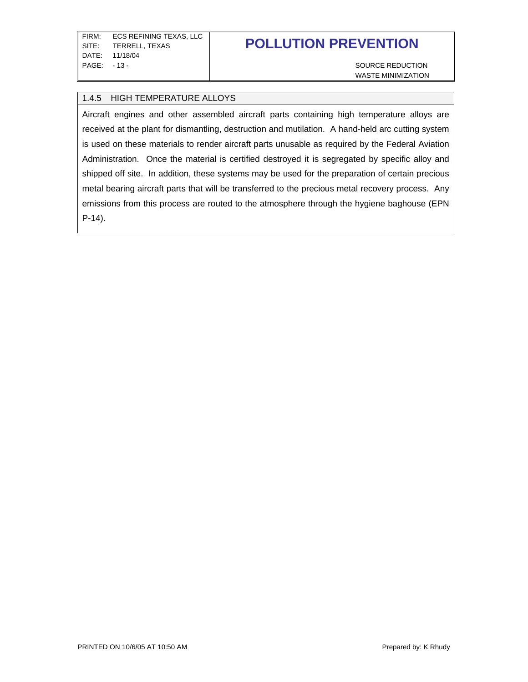WASTE MINIMIZATION

#### 1.4.5 HIGH TEMPERATURE ALLOYS

Aircraft engines and other assembled aircraft parts containing high temperature alloys are received at the plant for dismantling, destruction and mutilation. A hand-held arc cutting system is used on these materials to render aircraft parts unusable as required by the Federal Aviation Administration. Once the material is certified destroyed it is segregated by specific alloy and shipped off site. In addition, these systems may be used for the preparation of certain precious metal bearing aircraft parts that will be transferred to the precious metal recovery process. Any emissions from this process are routed to the atmosphere through the hygiene baghouse (EPN P-14).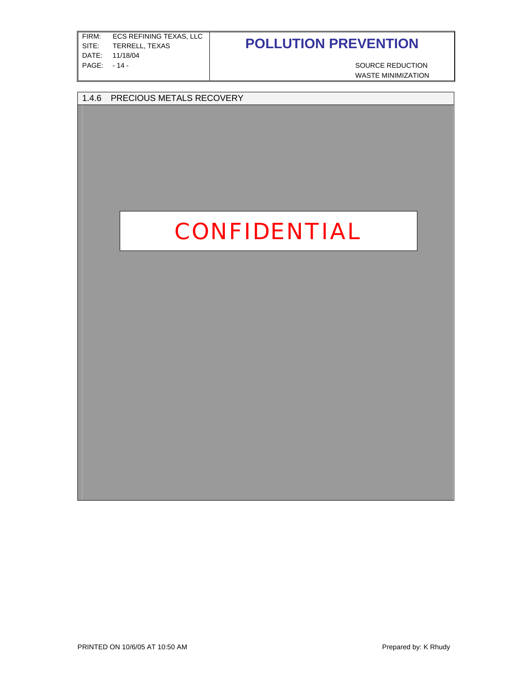| FIRM: | ECS REFINING TEXAS. LLC |
|-------|-------------------------|
| SITE: | TERRELL. TEXAS          |
| DATF: | 11/18/04                |
| PAGE: | $-14-$                  |
|       |                         |

SOURCE REDUCTION WASTE MINIMIZATION

### 1.4.6 PRECIOUS METALS RECOVERY

### precious metals of interest. After the charge has been processed, the solution is moved to a different 250-gallon tank with an original. This transfer is a set of material. This transfer is material. Thi continued back and forth until the solution is saturated with the precious metal of interest. By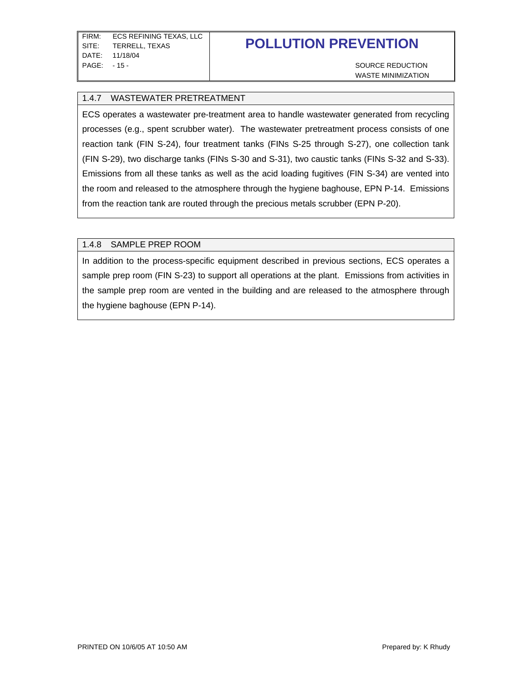WASTE MINIMIZATION

#### 1.4.7 WASTEWATER PRETREATMENT

ECS operates a wastewater pre-treatment area to handle wastewater generated from recycling processes (e.g., spent scrubber water). The wastewater pretreatment process consists of one reaction tank (FIN S-24), four treatment tanks (FINs S-25 through S-27), one collection tank (FIN S-29), two discharge tanks (FINs S-30 and S-31), two caustic tanks (FINs S-32 and S-33). Emissions from all these tanks as well as the acid loading fugitives (FIN S-34) are vented into the room and released to the atmosphere through the hygiene baghouse, EPN P-14. Emissions from the reaction tank are routed through the precious metals scrubber (EPN P-20).

#### 1.4.8 SAMPLE PREP ROOM

In addition to the process-specific equipment described in previous sections, ECS operates a sample prep room (FIN S-23) to support all operations at the plant. Emissions from activities in the sample prep room are vented in the building and are released to the atmosphere through the hygiene baghouse (EPN P-14).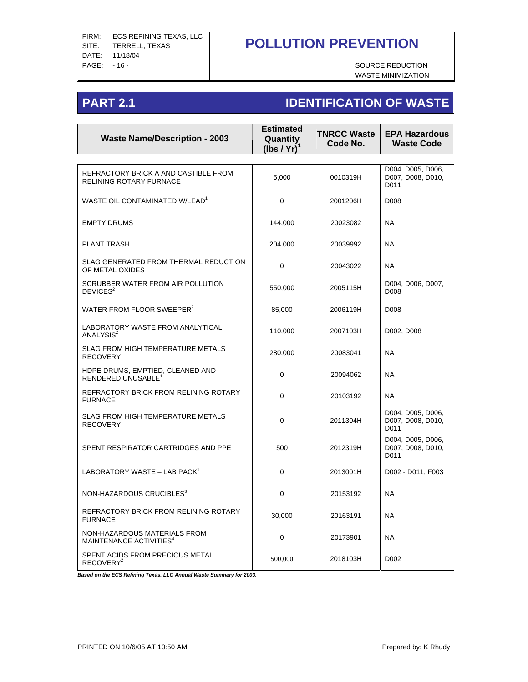WASTE MINIMIZATION

## **PART 2.1 IDENTIFICATION OF WASTE**

| <b>Waste Name/Description - 2003</b>                                | <b>Estimated</b><br>Quantity<br>(Ibs / Yr) | <b>TNRCC Waste</b><br>Code No. | <b>EPA Hazardous</b><br><b>Waste Code</b>      |
|---------------------------------------------------------------------|--------------------------------------------|--------------------------------|------------------------------------------------|
|                                                                     |                                            |                                |                                                |
| REFRACTORY BRICK A AND CASTIBLE FROM<br>RELINING ROTARY FURNACE     | 5.000                                      | 0010319H                       | D004, D005, D006,<br>D007, D008, D010,<br>D011 |
| WASTE OIL CONTAMINATED W/LEAD <sup>1</sup>                          | 0                                          | 2001206H                       | D008                                           |
| <b>EMPTY DRUMS</b>                                                  | 144,000                                    | 20023082                       | <b>NA</b>                                      |
| <b>PLANT TRASH</b>                                                  | 204,000                                    | 20039992                       | <b>NA</b>                                      |
| SLAG GENERATED FROM THERMAL REDUCTION<br>OF METAL OXIDES            | $\mathbf 0$                                | 20043022                       | <b>NA</b>                                      |
| SCRUBBER WATER FROM AIR POLLUTION<br>DEVICES <sup>2</sup>           | 550,000                                    | 2005115H                       | D004, D006, D007,<br>D008                      |
| WATER FROM FLOOR SWEEPER <sup>2</sup>                               | 85,000                                     | 2006119H                       | D008                                           |
| LABORATORY WASTE FROM ANALYTICAL<br>ANALYSIS <sup>2</sup>           | 110,000                                    | 2007103H                       | D002, D008                                     |
| SLAG FROM HIGH TEMPERATURE METALS<br><b>RECOVERY</b>                | 280,000                                    | 20083041                       | <b>NA</b>                                      |
| HDPE DRUMS, EMPTIED, CLEANED AND<br>RENDERED UNUSABLE <sup>1</sup>  | 0                                          | 20094062                       | <b>NA</b>                                      |
| REFRACTORY BRICK FROM RELINING ROTARY<br><b>FURNACE</b>             | 0                                          | 20103192                       | <b>NA</b>                                      |
| SLAG FROM HIGH TEMPERATURE METALS<br><b>RECOVERY</b>                | $\Omega$                                   | 2011304H                       | D004, D005, D006,<br>D007, D008, D010,<br>D011 |
| SPENT RESPIRATOR CARTRIDGES AND PPE                                 | 500                                        | 2012319H                       | D004, D005, D006,<br>D007, D008, D010,<br>D011 |
| LABORATORY WASTE - LAB PACK <sup>1</sup>                            | 0                                          | 2013001H                       | D002 - D011, F003                              |
| NON-HAZARDOUS CRUCIBLES <sup>3</sup>                                | $\mathbf 0$                                | 20153192                       | <b>NA</b>                                      |
| REFRACTORY BRICK FROM RELINING ROTARY<br><b>FURNACE</b>             | 30,000                                     | 20163191                       | <b>NA</b>                                      |
| NON-HAZARDOUS MATERIALS FROM<br>MAINTENANCE ACTIVITIES <sup>4</sup> | $\mathbf 0$                                | 20173901                       | <b>NA</b>                                      |
| SPENT ACIDS FROM PRECIOUS METAL<br>RECOVERY <sup>2</sup>            | 500,000                                    | 2018103H                       | D002                                           |

*Based on the ECS Refining Texas, LLC Annual Waste Summary for 2003.*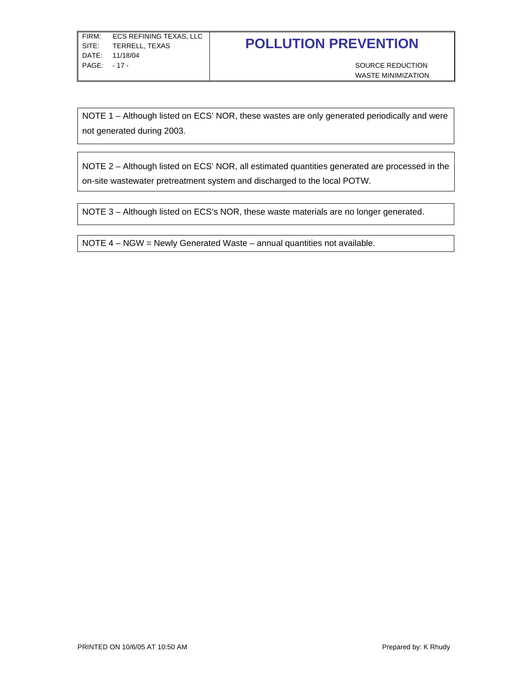NOTE 1 – Although listed on ECS' NOR, these wastes are only generated periodically and were not generated during 2003.

NOTE 2 – Although listed on ECS' NOR, all estimated quantities generated are processed in the on-site wastewater pretreatment system and discharged to the local POTW.

NOTE 3 – Although listed on ECS's NOR, these waste materials are no longer generated.

NOTE 4 – NGW = Newly Generated Waste – annual quantities not available.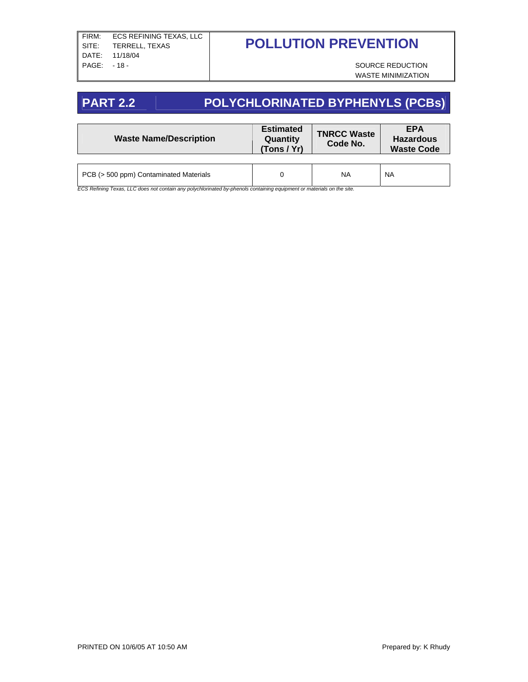WASTE MINIMIZATION

## **PART 2.2 POLYCHLORINATED BYPHENYLS (PCBs)**

| <b>Waste Name/Description</b>          | <b>Estimated</b><br>Quantity<br>(Tons / Yr) |           | <b>EPA</b><br><b>Hazardous</b><br><b>Waste Code</b> |
|----------------------------------------|---------------------------------------------|-----------|-----------------------------------------------------|
| PCB (> 500 ppm) Contaminated Materials |                                             | <b>NA</b> | <b>NA</b>                                           |

*ECS Refining Texas, LLC does not contain any polychlorinated by-phenols containing equipment or materials on the site.*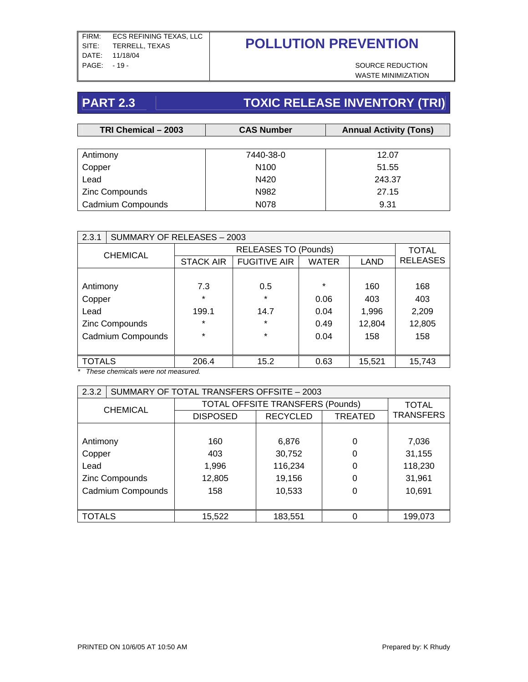WASTE MINIMIZATION

# **PART 2.3** TOXIC RELEASE INVENTORY (TRI)

| TRI Chemical - 2003 | <b>CAS Number</b> |        |
|---------------------|-------------------|--------|
|                     |                   |        |
| Antimony            | 7440-38-0         | 12.07  |
| Copper              | N <sub>100</sub>  | 51.55  |
| Lead                | N420              | 243.37 |
| Zinc Compounds      | N982              | 27.15  |
| Cadmium Compounds   | N078              | 9.31   |

| 2.3.1           | SUMMARY OF RELEASES - 2003 |                  |                             |         |        |                 |
|-----------------|----------------------------|------------------|-----------------------------|---------|--------|-----------------|
| <b>CHEMICAL</b> |                            |                  | <b>RELEASES TO (Pounds)</b> |         |        |                 |
|                 |                            | <b>STACK AIR</b> | <b>FUGITIVE AIR</b>         | WATER   | LAND   | <b>RELEASES</b> |
|                 |                            |                  |                             |         |        |                 |
| Antimony        |                            | 7.3              | 0.5                         | $\star$ | 160    | 168             |
| Copper          |                            | $\star$          | $\star$                     | 0.06    | 403    | 403             |
| Lead            |                            | 199.1            | 14.7                        | 0.04    | 1,996  | 2,209           |
|                 | Zinc Compounds             | $\star$          | $\ast$                      | 0.49    | 12,804 | 12,805          |
|                 | Cadmium Compounds          | $\star$          | $\star$                     | 0.04    | 158    | 158             |
|                 |                            |                  |                             |         |        |                 |
| <b>TOTALS</b>   |                            | 206.4            | 15.2                        | 0.63    | 15,521 | 15,743          |

*\* These chemicals were not measured.* 

| 2.3.2             | SUMMARY OF TOTAL TRANSFERS OFFSITE - 2003 |                                         |                 |                |                  |  |  |
|-------------------|-------------------------------------------|-----------------------------------------|-----------------|----------------|------------------|--|--|
| <b>CHEMICAL</b>   |                                           | <b>TOTAL OFFSITE TRANSFERS (Pounds)</b> | <b>TOTAL</b>    |                |                  |  |  |
|                   |                                           | <b>DISPOSED</b>                         | <b>RECYCLED</b> | <b>TREATED</b> | <b>TRANSFERS</b> |  |  |
|                   |                                           |                                         |                 |                |                  |  |  |
| Antimony          |                                           | 160                                     | 6,876           | 0              | 7,036            |  |  |
| Copper            |                                           | 403                                     | 30,752          | 0              | 31,155           |  |  |
| Lead              |                                           | 1,996                                   | 116,234         | 0              | 118,230          |  |  |
|                   | Zinc Compounds                            | 12,805                                  | 19,156          | 0              | 31,961           |  |  |
| Cadmium Compounds |                                           | 158                                     | 10,533          | 0              | 10,691           |  |  |
|                   |                                           |                                         |                 |                |                  |  |  |
| <b>TOTALS</b>     |                                           | 15,522                                  | 183,551         | 0              | 199,073          |  |  |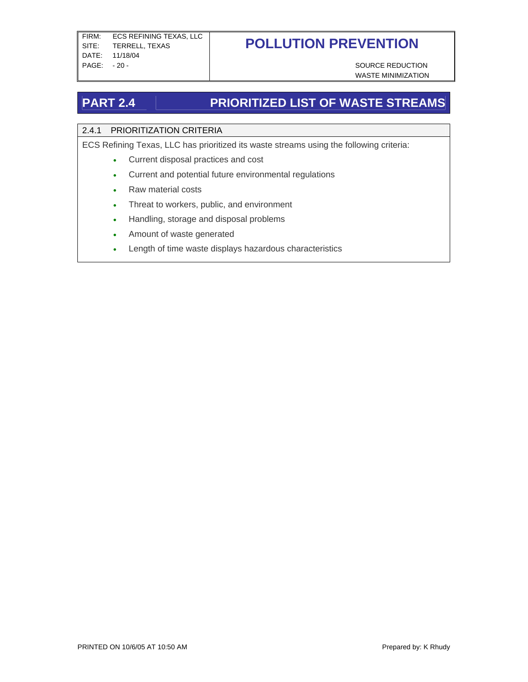WASTE MINIMIZATION

## **PART 2.4 PRIORITIZED LIST OF WASTE STREAMS**

### 2.4.1 PRIORITIZATION CRITERIA

ECS Refining Texas, LLC has prioritized its waste streams using the following criteria:

- Current disposal practices and cost
- Current and potential future environmental regulations
- Raw material costs
- Threat to workers, public, and environment
- Handling, storage and disposal problems
- Amount of waste generated
- Length of time waste displays hazardous characteristics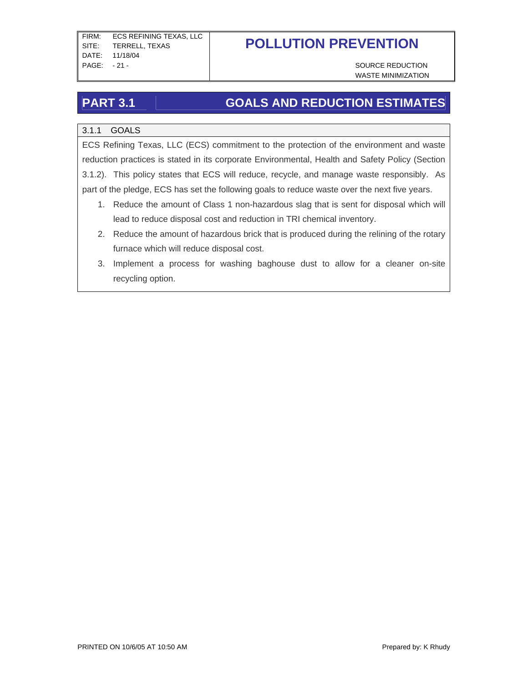WASTE MINIMIZATION

## **PART 3.1 GOALS AND REDUCTION ESTIMATES**

### 3.1.1 GOALS

ECS Refining Texas, LLC (ECS) commitment to the protection of the environment and waste reduction practices is stated in its corporate Environmental, Health and Safety Policy (Section 3.1.2). This policy states that ECS will reduce, recycle, and manage waste responsibly. As part of the pledge, ECS has set the following goals to reduce waste over the next five years.

- 1. Reduce the amount of Class 1 non-hazardous slag that is sent for disposal which will lead to reduce disposal cost and reduction in TRI chemical inventory.
- 2. Reduce the amount of hazardous brick that is produced during the relining of the rotary furnace which will reduce disposal cost.
- 3. Implement a process for washing baghouse dust to allow for a cleaner on-site recycling option.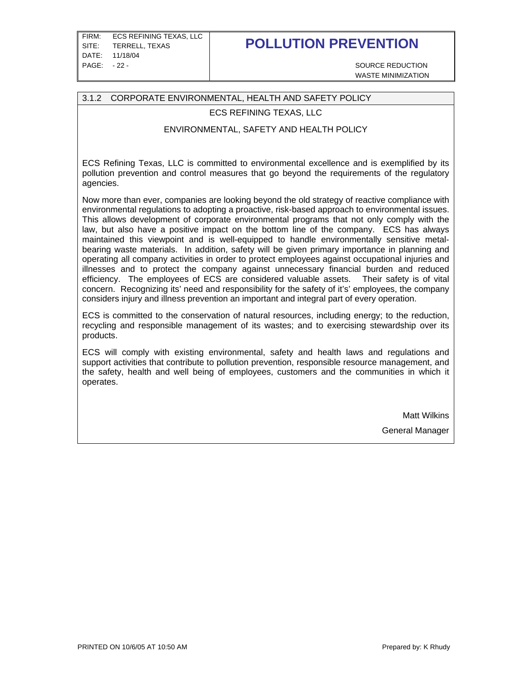FIRM: ECS REFINING TEXAS, LLC SITE: TERRELL, TEXAS DATE: 11/18/04 PAGE: -22 - SOURCE REDUCTION

## **POLLUTION PREVENTION**

WASTE MINIMIZATION

#### 3.1.2 CORPORATE ENVIRONMENTAL, HEALTH AND SAFETY POLICY

#### ECS REFINING TEXAS, LLC

#### ENVIRONMENTAL, SAFETY AND HEALTH POLICY

ECS Refining Texas, LLC is committed to environmental excellence and is exemplified by its pollution prevention and control measures that go beyond the requirements of the regulatory agencies.

Now more than ever, companies are looking beyond the old strategy of reactive compliance with environmental regulations to adopting a proactive, risk-based approach to environmental issues. This allows development of corporate environmental programs that not only comply with the law, but also have a positive impact on the bottom line of the company. ECS has always maintained this viewpoint and is well-equipped to handle environmentally sensitive metalbearing waste materials. In addition, safety will be given primary importance in planning and operating all company activities in order to protect employees against occupational injuries and illnesses and to protect the company against unnecessary financial burden and reduced efficiency. The employees of ECS are considered valuable assets. Their safety is of vital concern. Recognizing its' need and responsibility for the safety of it's' employees, the company considers injury and illness prevention an important and integral part of every operation.

ECS is committed to the conservation of natural resources, including energy; to the reduction, recycling and responsible management of its wastes; and to exercising stewardship over its products.

ECS will comply with existing environmental, safety and health laws and regulations and support activities that contribute to pollution prevention, responsible resource management, and the safety, health and well being of employees, customers and the communities in which it operates.

> Matt Wilkins General Manager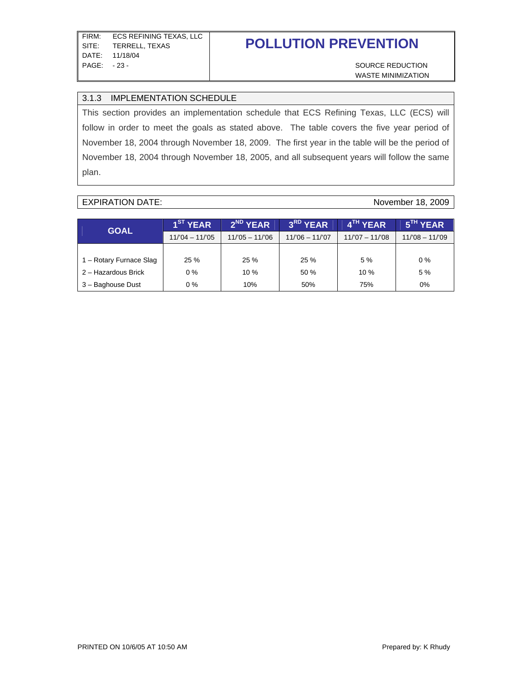WASTE MINIMIZATION

#### 3.1.3 IMPLEMENTATION SCHEDULE

This section provides an implementation schedule that ECS Refining Texas, LLC (ECS) will follow in order to meet the goals as stated above. The table covers the five year period of November 18, 2004 through November 18, 2009. The first year in the table will be the period of November 18, 2004 through November 18, 2005, and all subsequent years will follow the same plan.

#### EXPIRATION DATE: November 18, 2009

| <b>GOAL</b>             | 1 <sup>ST</sup> YEAR | 2 <sup>ND</sup> YEAR | 3RD YEAR        | 4 <sup>TH</sup> YEAR | 5 <sup>TH</sup> YEAR |
|-------------------------|----------------------|----------------------|-----------------|----------------------|----------------------|
|                         | $11/04 - 11/05$      | $11/05 - 11/06$      | $11/06 - 11/07$ | $11/07 - 11/08$      | $11/08 - 11/09$      |
|                         |                      |                      |                 |                      |                      |
| 1 – Rotary Furnace Slag | 25%                  | 25 %                 | 25%             | 5%                   | $0\%$                |
| 2 – Hazardous Brick     | $0\%$                | 10%                  | 50 %            | $10\%$               | 5 %                  |
| 3 - Baghouse Dust       | $0\%$                | 10%                  | 50%             | 75%                  | 0%                   |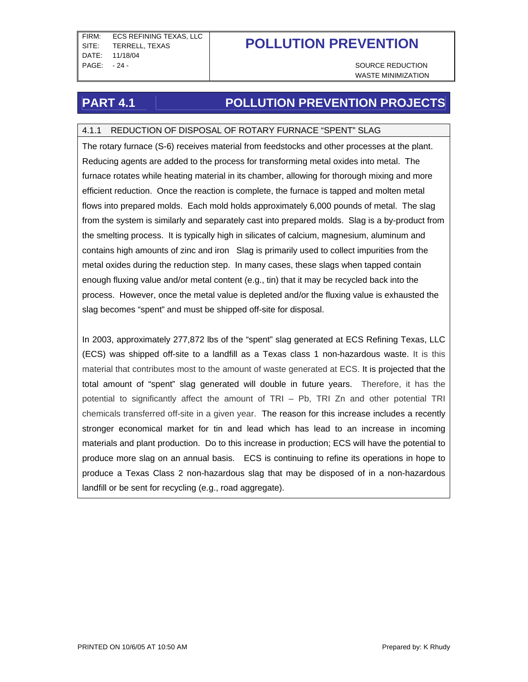WASTE MINIMIZATION

## **PART 4.1 POLLUTION PREVENTION PROJECTS**

### 4.1.1 REDUCTION OF DISPOSAL OF ROTARY FURNACE "SPENT" SLAG

The rotary furnace (S-6) receives material from feedstocks and other processes at the plant. Reducing agents are added to the process for transforming metal oxides into metal. The furnace rotates while heating material in its chamber, allowing for thorough mixing and more efficient reduction. Once the reaction is complete, the furnace is tapped and molten metal flows into prepared molds. Each mold holds approximately 6,000 pounds of metal. The slag from the system is similarly and separately cast into prepared molds. Slag is a by-product from the smelting process. It is typically high in silicates of calcium, magnesium, aluminum and contains high amounts of zinc and iron Slag is primarily used to collect impurities from the metal oxides during the reduction step. In many cases, these slags when tapped contain enough fluxing value and/or metal content (e.g., tin) that it may be recycled back into the process. However, once the metal value is depleted and/or the fluxing value is exhausted the slag becomes "spent" and must be shipped off-site for disposal.

In 2003, approximately 277,872 lbs of the "spent" slag generated at ECS Refining Texas, LLC (ECS) was shipped off-site to a landfill as a Texas class 1 non-hazardous waste. It is this material that contributes most to the amount of waste generated at ECS. It is projected that the total amount of "spent" slag generated will double in future years. Therefore, it has the potential to significantly affect the amount of TRI – Pb, TRI Zn and other potential TRI chemicals transferred off-site in a given year. The reason for this increase includes a recently stronger economical market for tin and lead which has lead to an increase in incoming materials and plant production. Do to this increase in production; ECS will have the potential to produce more slag on an annual basis. ECS is continuing to refine its operations in hope to produce a Texas Class 2 non-hazardous slag that may be disposed of in a non-hazardous landfill or be sent for recycling (e.g., road aggregate).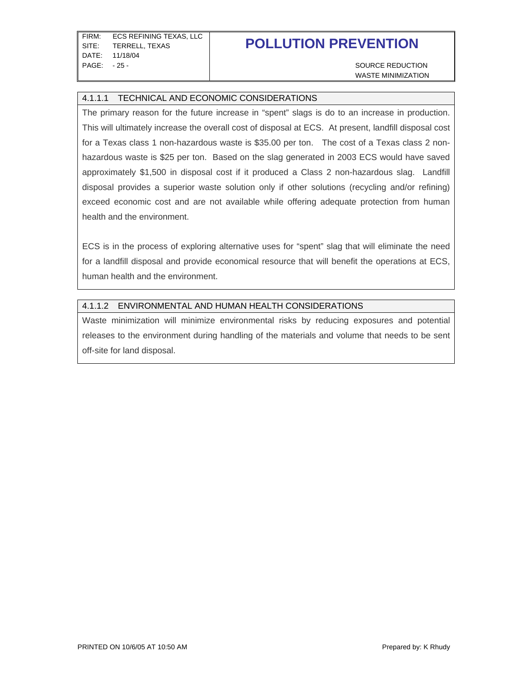WASTE MINIMIZATION

#### 4.1.1.1 TECHNICAL AND ECONOMIC CONSIDERATIONS

The primary reason for the future increase in "spent" slags is do to an increase in production. This will ultimately increase the overall cost of disposal at ECS. At present, landfill disposal cost for a Texas class 1 non-hazardous waste is \$35.00 per ton. The cost of a Texas class 2 nonhazardous waste is \$25 per ton. Based on the slag generated in 2003 ECS would have saved approximately \$1,500 in disposal cost if it produced a Class 2 non-hazardous slag. Landfill disposal provides a superior waste solution only if other solutions (recycling and/or refining) exceed economic cost and are not available while offering adequate protection from human health and the environment.

ECS is in the process of exploring alternative uses for "spent" slag that will eliminate the need for a landfill disposal and provide economical resource that will benefit the operations at ECS, human health and the environment.

#### 4.1.1.2 ENVIRONMENTAL AND HUMAN HEALTH CONSIDERATIONS

Waste minimization will minimize environmental risks by reducing exposures and potential releases to the environment during handling of the materials and volume that needs to be sent off-site for land disposal.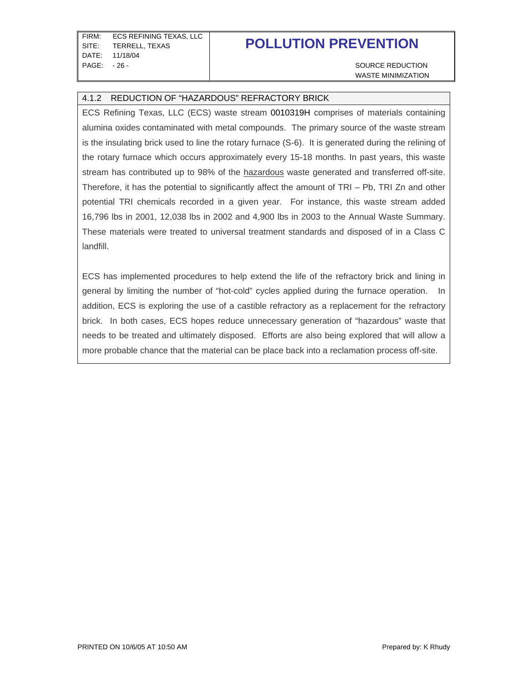WASTE MINIMIZATION

#### 4.1.2 REDUCTION OF "HAZARDOUS" REFRACTORY BRICK

ECS Refining Texas, LLC (ECS) waste stream 0010319H comprises of materials containing alumina oxides contaminated with metal compounds. The primary source of the waste stream is the insulating brick used to line the rotary furnace (S-6). It is generated during the relining of the rotary furnace which occurs approximately every 15-18 months. In past years, this waste stream has contributed up to 98% of the hazardous waste generated and transferred off-site. Therefore, it has the potential to significantly affect the amount of TRI – Pb, TRI Zn and other potential TRI chemicals recorded in a given year. For instance, this waste stream added 16,796 lbs in 2001, 12,038 lbs in 2002 and 4,900 lbs in 2003 to the Annual Waste Summary. These materials were treated to universal treatment standards and disposed of in a Class C landfill.

ECS has implemented procedures to help extend the life of the refractory brick and lining in general by limiting the number of "hot-cold" cycles applied during the furnace operation. In addition, ECS is exploring the use of a castible refractory as a replacement for the refractory brick. In both cases, ECS hopes reduce unnecessary generation of "hazardous" waste that needs to be treated and ultimately disposed. Efforts are also being explored that will allow a more probable chance that the material can be place back into a reclamation process off-site.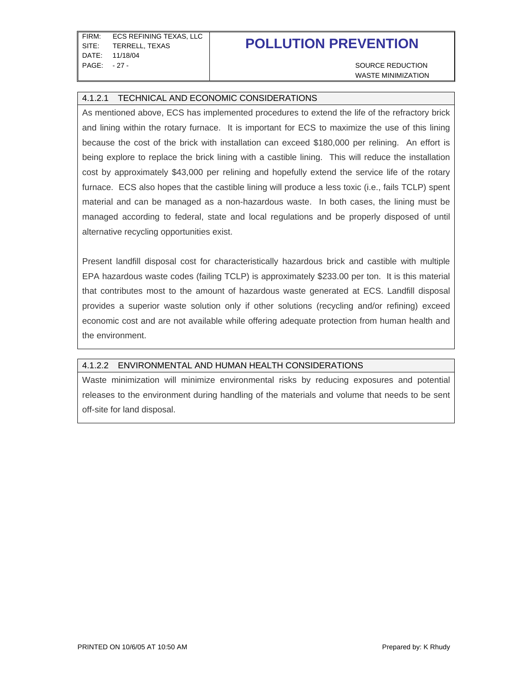FIRM: ECS REFINING TEXAS, LLC SITE: TERRELL, TEXAS DATE: 11/18/04 PAGE: -27 - SOURCE REDUCTION

## **POLLUTION PREVENTION**

WASTE MINIMIZATION

#### 4.1.2.1 TECHNICAL AND ECONOMIC CONSIDERATIONS

As mentioned above, ECS has implemented procedures to extend the life of the refractory brick and lining within the rotary furnace. It is important for ECS to maximize the use of this lining because the cost of the brick with installation can exceed \$180,000 per relining. An effort is being explore to replace the brick lining with a castible lining. This will reduce the installation cost by approximately \$43,000 per relining and hopefully extend the service life of the rotary furnace. ECS also hopes that the castible lining will produce a less toxic (i.e., fails TCLP) spent material and can be managed as a non-hazardous waste. In both cases, the lining must be managed according to federal, state and local regulations and be properly disposed of until alternative recycling opportunities exist.

Present landfill disposal cost for characteristically hazardous brick and castible with multiple EPA hazardous waste codes (failing TCLP) is approximately \$233.00 per ton. It is this material that contributes most to the amount of hazardous waste generated at ECS. Landfill disposal provides a superior waste solution only if other solutions (recycling and/or refining) exceed economic cost and are not available while offering adequate protection from human health and the environment.

#### 4.1.2.2 ENVIRONMENTAL AND HUMAN HEALTH CONSIDERATIONS

Waste minimization will minimize environmental risks by reducing exposures and potential releases to the environment during handling of the materials and volume that needs to be sent off-site for land disposal.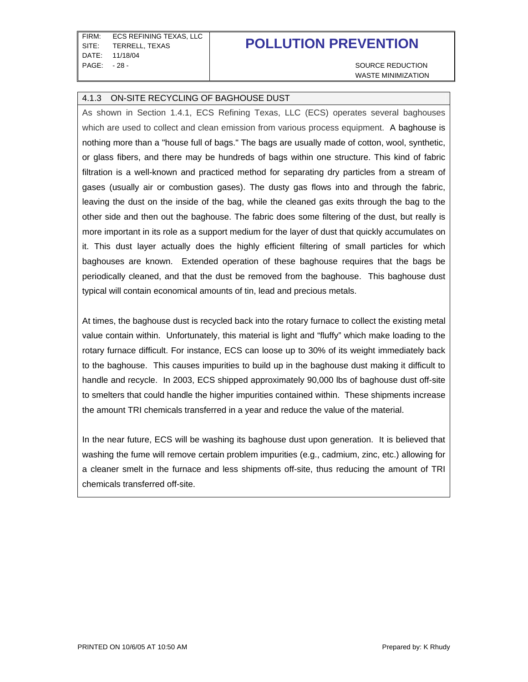WASTE MINIMIZATION

#### 4.1.3 ON-SITE RECYCLING OF BAGHOUSE DUST

As shown in Section 1.4.1, ECS Refining Texas, LLC (ECS) operates several baghouses which are used to collect and clean emission from various process equipment. A baghouse is nothing more than a "house full of bags." The bags are usually made of cotton, wool, synthetic, or glass fibers, and there may be hundreds of bags within one structure. This kind of fabric filtration is a well-known and practiced method for separating dry particles from a stream of gases (usually air or combustion gases). The dusty gas flows into and through the fabric, leaving the dust on the inside of the bag, while the cleaned gas exits through the bag to the other side and then out the baghouse. The fabric does some filtering of the dust, but really is more important in its role as a support medium for the layer of dust that quickly accumulates on it. This dust layer actually does the highly efficient filtering of small particles for which baghouses are known. Extended operation of these baghouse requires that the bags be periodically cleaned, and that the dust be removed from the baghouse. This baghouse dust typical will contain economical amounts of tin, lead and precious metals.

At times, the baghouse dust is recycled back into the rotary furnace to collect the existing metal value contain within. Unfortunately, this material is light and "fluffy" which make loading to the rotary furnace difficult. For instance, ECS can loose up to 30% of its weight immediately back to the baghouse. This causes impurities to build up in the baghouse dust making it difficult to handle and recycle. In 2003, ECS shipped approximately 90,000 lbs of baghouse dust off-site to smelters that could handle the higher impurities contained within. These shipments increase the amount TRI chemicals transferred in a year and reduce the value of the material.

In the near future, ECS will be washing its baghouse dust upon generation. It is believed that washing the fume will remove certain problem impurities (e.g., cadmium, zinc, etc.) allowing for a cleaner smelt in the furnace and less shipments off-site, thus reducing the amount of TRI chemicals transferred off-site.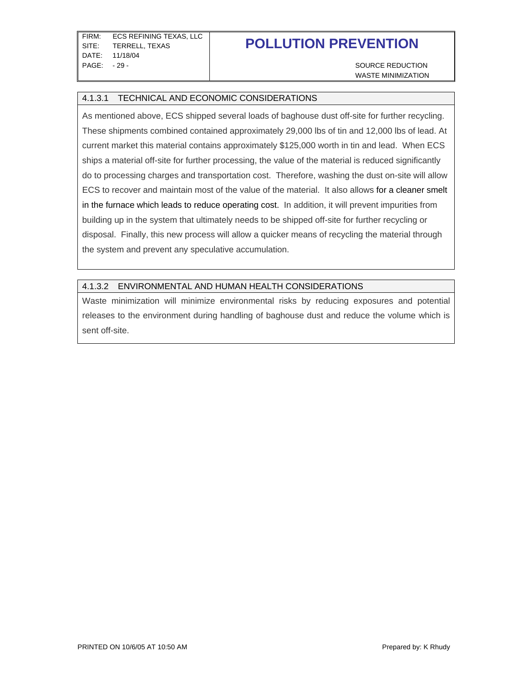FIRM: ECS REFINING TEXAS, LLC SITE: TERRELL, TEXAS DATE: 11/18/04 PAGE: -29 - SOURCE REDUCTION

# **POLLUTION PREVENTION**

WASTE MINIMIZATION

#### 4.1.3.1 TECHNICAL AND ECONOMIC CONSIDERATIONS

As mentioned above, ECS shipped several loads of baghouse dust off-site for further recycling. These shipments combined contained approximately 29,000 lbs of tin and 12,000 lbs of lead. At current market this material contains approximately \$125,000 worth in tin and lead. When ECS ships a material off-site for further processing, the value of the material is reduced significantly do to processing charges and transportation cost. Therefore, washing the dust on-site will allow ECS to recover and maintain most of the value of the material. It also allows for a cleaner smelt in the furnace which leads to reduce operating cost. In addition, it will prevent impurities from building up in the system that ultimately needs to be shipped off-site for further recycling or disposal. Finally, this new process will allow a quicker means of recycling the material through the system and prevent any speculative accumulation.

#### 4.1.3.2 ENVIRONMENTAL AND HUMAN HEALTH CONSIDERATIONS

Waste minimization will minimize environmental risks by reducing exposures and potential releases to the environment during handling of baghouse dust and reduce the volume which is sent off-site.